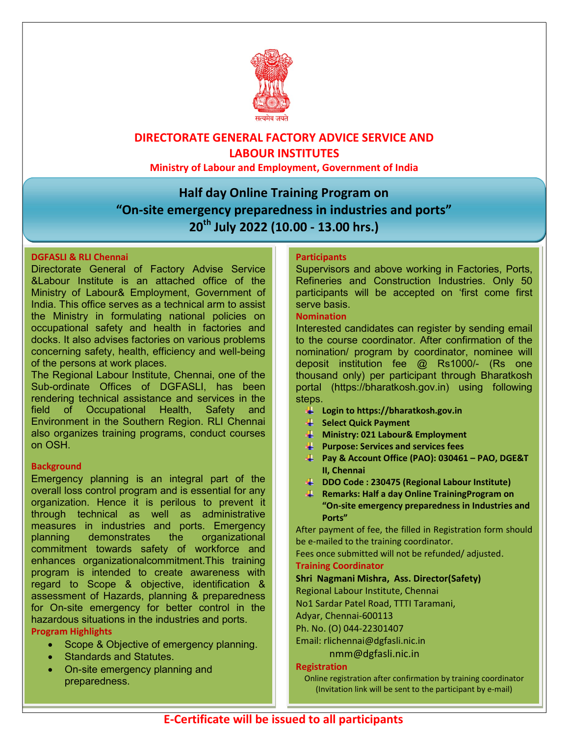

## DIRECTORATE GENERAL FACTORY ADVICE SERVICE AND LABOUR INSTITUTES

Ministry of Labour and Employment, Government of India

# Half day Online Training Program on "On-site emergency preparedness in industries and ports" 20<sup>th</sup> July 2022 (10.00 - 13.00 hrs.)

#### DGFASLI & RLI Chennai

Directorate General of Factory Advise Service &Labour Institute is an attached office of the Ministry of Labour& Employment, Government of India. This office serves as a technical arm to assist the Ministry in formulating national policies on occupational safety and health in factories and docks. It also advises factories on various problems concerning safety, health, efficiency and well-being of the persons at work places.

The Regional Labour Institute, Chennai, one of the Sub-ordinate Offices of DGFASLI, has been rendering technical assistance and services in the field of Occupational Health, Safety and Environment in the Southern Region. RLI Chennai also organizes training programs, conduct courses on OSH.

#### **Background**

Emergency planning is an integral part of the overall loss control program and is essential for any organization. Hence it is perilous to prevent it through technical as well as administrative measures in industries and ports. Emergency planning demonstrates the organizational commitment towards safety of workforce and enhances organizationalcommitment.This training program is intended to create awareness with regard to Scope & objective, identification & assessment of Hazards, planning & preparedness for On-site emergency for better control in the hazardous situations in the industries and ports. Program Highlights

#### • Scope & Objective of emergency planning.

- Standards and Statutes.
- On-site emergency planning and preparedness.

#### **Participants**

Supervisors and above working in Factories, Ports, Refineries and Construction Industries. Only 50 participants will be accepted on 'first come first serve basis.

#### Nomination

Interested candidates can register by sending email to the course coordinator. After confirmation of the nomination/ program by coordinator, nominee will deposit institution fee @ Rs1000/- (Rs one thousand only) per participant through Bharatkosh portal (https://bharatkosh.gov.in) using following steps.

- Login to https://bharatkosh.gov.in
- **Select Quick Payment**
- **Ministry: 021 Labour& Employment**
- $\downarrow$  Purpose: Services and services fees
- Pay & Account Office (PAO): 030461 PAO, DGE&T II, Chennai
- DDO Code : 230475 (Regional Labour Institute)
- **Remarks: Half a day Online Training Program on** "On-site emergency preparedness in Industries and Ports"

After payment of fee, the filled in Registration form should be e-mailed to the training coordinator.

Fees once submitted will not be refunded/ adjusted. Training Coordinator

### Shri Nagmani Mishra, Ass. Director(Safety)

Regional Labour Institute, Chennai

No1 Sardar Patel Road, TTTI Taramani,

Adyar, Chennai-600113

Ph. No. (O) 044-22301407

Email: rlichennai@dgfasli.nic.in

nmm@dgfasli.nic.in

#### Registration

Online registration after confirmation by training coordinator (Invitation link will be sent to the participant by e-mail)